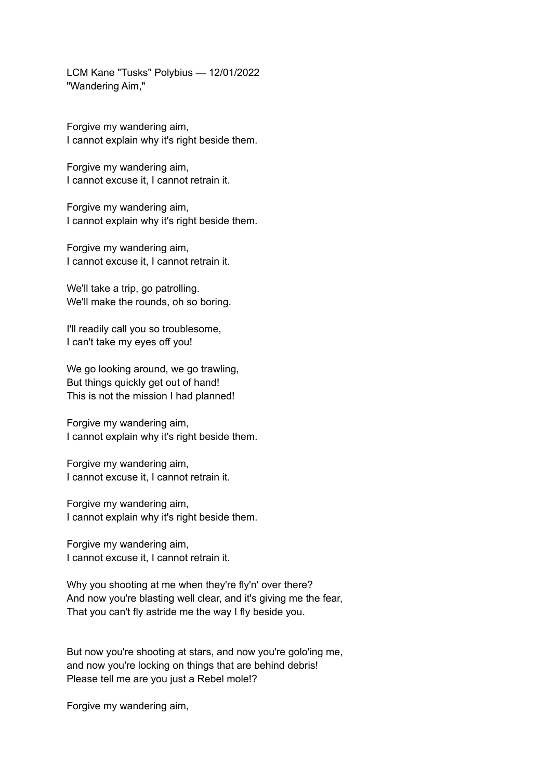LCM Kane "Tusks" Polybius — 12/01/2022 "Wandering Aim,"

Forgive my wandering aim, I cannot explain why it's right beside them.

Forgive my wandering aim, I cannot excuse it, I cannot retrain it.

Forgive my wandering aim, I cannot explain why it's right beside them.

Forgive my wandering aim, I cannot excuse it, I cannot retrain it.

We'll take a trip, go patrolling. We'll make the rounds, oh so boring.

I'll readily call you so troublesome, I can't take my eyes off you!

We go looking around, we go trawling, But things quickly get out of hand! This is not the mission I had planned!

Forgive my wandering aim, I cannot explain why it's right beside them.

Forgive my wandering aim, I cannot excuse it, I cannot retrain it.

Forgive my wandering aim, I cannot explain why it's right beside them.

Forgive my wandering aim, I cannot excuse it, I cannot retrain it.

Why you shooting at me when they're fly'n' over there? And now you're blasting well clear, and it's giving me the fear, That you can't fly astride me the way I fly beside you.

But now you're shooting at stars, and now you're golo'ing me, and now you're locking on things that are behind debris! Please tell me are you just a Rebel mole!?

Forgive my wandering aim,